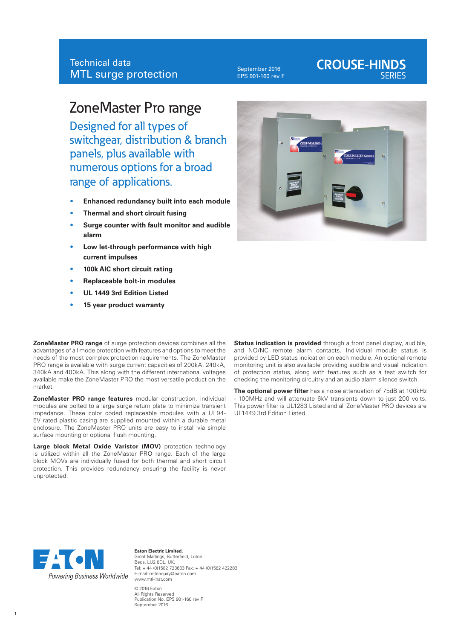September 2016 EPS 901-160 rev F

# **CROUSE-HINDS**

# ZoneMaster Pro range

Designed for all types of switchgear, distribution & branch panels, plus available with numerous options for a broad range of applications.

- **• Enhanced redundancy built into each module**
- **• Thermal and short circuit fusing**
- **• Surge counter with fault monitor and audible alarm**
- **• Low let-through performance with high current impulses**
- **• 100k AIC short circuit rating**
- **• Replaceable bolt-in modules**
- **• UL 1449 3rd Edition Listed**
- **• 15 year product warranty**

**ZoneMaster PRO range** of surge protection devices combines all the advantages of all mode protection with features and options to meet the needs of the most complex protection requirements. The ZoneMaster PRO range is available with surge current capacities of 200kA, 240kA, 340kA and 400kA. This along with the different international voltages available make the ZoneMaster PRO the most versatile product on the market.

**ZoneMaster PRO range features** modular construction, individual modules are bolted to a large surge return plate to minimize transient impedance. These color coded replaceable modules with a UL94- 5V rated plastic casing are supplied mounted within a durable metal enclosure. The ZoneMaster PRO units are easy to install via simple surface mounting or optional flush mounting.

**Large block Metal Oxide Varistor (MOV)** protection technology is utilized within all the ZoneMaster PRO range. Each of the large block MOVs are individually fused for both thermal and short circuit protection. This provides redundancy ensuring the facility is never unprotected.



**Status indication is provided** through a front panel display, audible, and NO/NC remote alarm contacts. Individual module status is provided by LED status indication on each module. An optional remote monitoring unit is also available providing audible and visual indication of protection status, along with features such as a test switch for checking the monitoring circuitry and an audio alarm silence switch.

**The optional power filter** has a noise attenuation of 75dB at 100kHz - 100MHz and will attenuate 6kV transients down to just 200 volts. This power filter is UL1283 Listed and all ZoneMaster PRO devices are UL1449 3rd Edition Listed.



**Eaton Electric Limited,** Great Marlings, Butterfield, Luton Beds, LU2 8DL, UK. Tel: + 44 (0)1582 723633 Fax: + 44 (0)1582 422283 E-mail: mtlenquiry@eaton.com www.mtl-inst.com © 2016 Eaton

All Rights Reserved Publication No. EPS 901-160 rev F September 2016